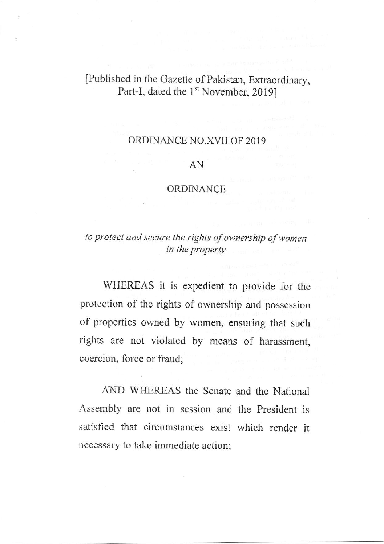# [Published in the Gazette of Pakistan, Extraordinary, Part-I, dated the 1<sup>st</sup> November, 2019]

### ORDINANCE NO.XVII OF 20I9

#### AN

### ORDINANCE

## to protect and secure the rights of ownership of women in the property

WHEREAS it is expedient to provide for the protection of the rights of ownership and possession of properties owned by women, ensuring that such rights are not violated by means of harassment, coercion, force or fiaud;

AND WHEREAS the Senate and the National Assembly are not in session and the President is satisfied that circumstances exist which render it necessary to take immediate action;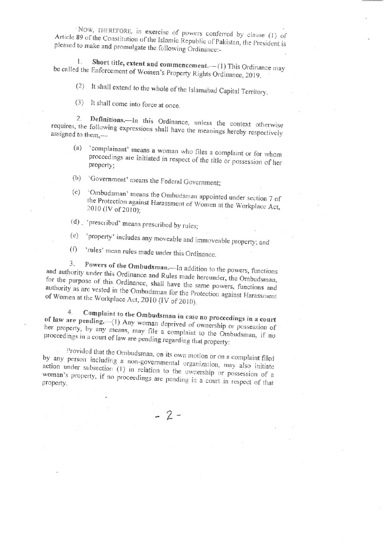NOW, THEREFORE, in exercise of powers conferred by clause (1) of Article 89 of the Constitution of the Islamic Republic of Pakistan, the President is pleased to make and promulgate the following Ordinance:-

Short title, extent and commencement.- (1) This Ordinance may  $\mathbf{I}$ . be called the Enforcement of Women's Property Rights Ordinance, 2019.

(2) It shall extend to the whole of the Islamabad Capital Territory.

(3) It shall come into force at once.

Definitions.--- In this Ordinance, unless the context otherwise 2. requires, the following expressions shall have the meanings hereby respectively assigned to them,-

- 'complainant' means a woman who files a complaint or for whom  $(a)$ proceedings are initiated in respect of the title or possession of her property;
- (b) 'Government' means the Federal Government;
- 'Ombudsman' means the Ombudsman appointed under section 7 of  $(c)$ the Protection against Harassment of Women at the Workplace Act, 2010 (IV of 2010):
- (d) . 'prescribed' means prescribed by rules;
- 'property' includes any moveable and immoveable property; and  $(e)$
- 'rules' mean rules made under this Ordinance.  $(f)$

Powers of the Ombudsman.-In addition to the powers, functions 3. and authority under this Ordinance and Rules made hereunder, the Ombudsman, for the purpose of this Ordinance, shall have the same powers, functions and authority as are vested in the Ombudsman for the Protection against Harassment of Women at the Workplace Act, 2010 (IV of 2010).

Complaint to the Ombudsman in case no proceedings in a court  $4.$ of law are pending. (1) Any woman deprived of ownership or possession of her property, by any means, may file a complaint to the Ombudsman, if no proceedings in a court of law are pending regarding that property:

Provided that the Ombudsman, on its own motion or on a complaint filed by any person including a non-governmental organization, may also initiate action under subsection (1) in relation to the ownership or possession of a woman's property, if no proceedings are pending in a court in respect of that

 $-2-$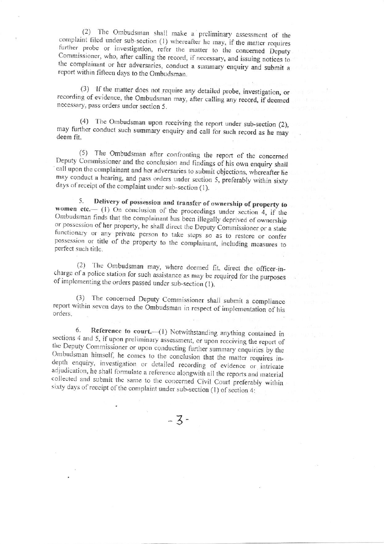(2) The Ombudsman shall make a preliminary assessment of the complaint filed under sub-section (1) whereafter he may, if the matter requires further probe or investigation, refer the matter to the concerned Deputy Commissioner, who, after calling the record, if necessary, and issuing notices to the complainant or her adversaries, conduct a summary enquiry and submit a report within fifteen days to the Ombudsman.

(3) If the matter does not require any detailed probe, investigation, or recording of evidence, the Ombudsman may, after calling any record, if deemed necessary, pass orders under section 5.

(4) The Ombudsman upon receiving the report under sub-section (2), may further conduct such summary enquiry and call for such record as he may deem fit.

(5) The Ombudsman after confronting the report of the concerned Deputy Commissioner and the conclusion and findings of his own enquiry shall call upon the complainant and her adversaries to submit objections, whereafter he may conduct a hearing, and pass orders under section 5, preferably within sixty days of receipt of the complaint under sub-section (1).

Delivery of possession and transfer of ownership of property to 5. women etc.  $\left(\begin{array}{cc}1\end{array}\right)$  On conclusion of the proceedings under section 4, if the Ombudsman finds that the complainant has been illegally deprived of ownership or possession of her property, he shall direct the Deputy Commissioner or a state functionary or any private person to take steps so as to restore or confer possession or title of the property to the complainant, including measures to perfect such title.

(2) The Ombudsman may, where deemed fit, direct the officer-incharge of a police station for such assistance as may be required for the purposes of implementing the orders passed under sub-section (1).

(3) The concerned Deputy Commissioner shall submit a compliance report within seven days to the Ombudsman in respect of implementation of his orders.

6. Reference to court.-- (1) Notwithstanding anything contained in sections 4 and 5, if upon preliminary assessment, or upon receiving the report of the Deputy Commissioner or upon conducting further summary enquiries by the Ombudsman himself, he comes to the conclusion that the matter requires indepth enquiry, investigation or detailed recording of evidence or intricate adjudication, he shall formulate a reference alongwith all the reports and material collected and submit the same to the concerned Civil Court preferably within sixty days of receipt of the complaint under sub-section (1) of section 4:

 $-3-$